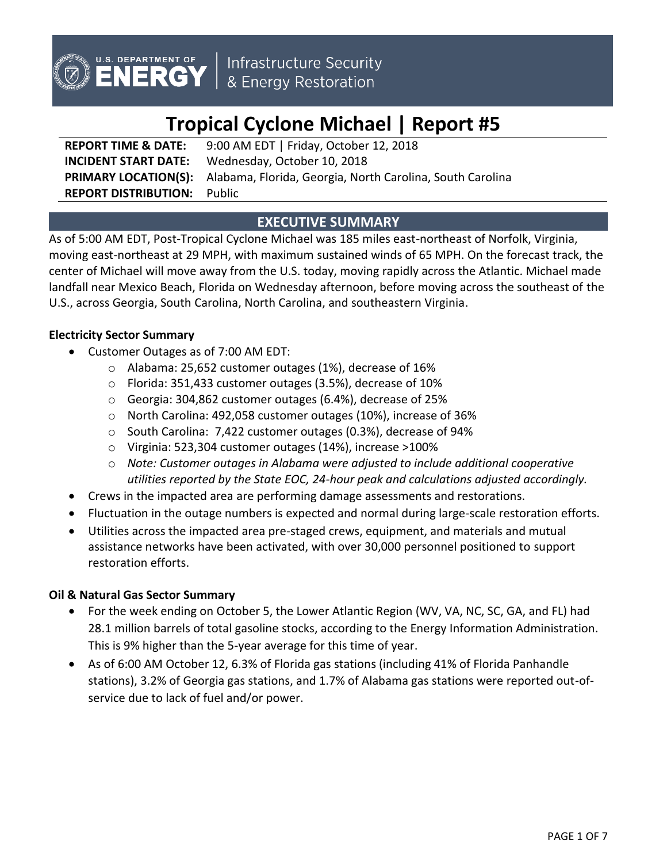

# **Tropical Cyclone Michael | Report #5**

**REPORT TIME & DATE:** 9:00 AM EDT | Friday, October 12, 2018 **INCIDENT START DATE:** Wednesday, October 10, 2018 **PRIMARY LOCATION(S):** Alabama, Florida, Georgia, North Carolina, South Carolina **REPORT DISTRIBUTION:** Public

## **EXECUTIVE SUMMARY**

As of 5:00 AM EDT, Post-Tropical Cyclone Michael was 185 miles east-northeast of Norfolk, Virginia, moving east-northeast at 29 MPH, with maximum sustained winds of 65 MPH. On the forecast track, the center of Michael will move away from the U.S. today, moving rapidly across the Atlantic. Michael made landfall near Mexico Beach, Florida on Wednesday afternoon, before moving across the southeast of the U.S., across Georgia, South Carolina, North Carolina, and southeastern Virginia.

## **Electricity Sector Summary**

- Customer Outages as of 7:00 AM EDT:
	- o Alabama: 25,652 customer outages (1%), decrease of 16%
	- o Florida: 351,433 customer outages (3.5%), decrease of 10%
	- o Georgia: 304,862 customer outages (6.4%), decrease of 25%
	- o North Carolina: 492,058 customer outages (10%), increase of 36%
	- o South Carolina: 7,422 customer outages (0.3%), decrease of 94%
	- o Virginia: 523,304 customer outages (14%), increase >100%
	- o *Note: Customer outages in Alabama were adjusted to include additional cooperative utilities reported by the State EOC, 24-hour peak and calculations adjusted accordingly.*
- Crews in the impacted area are performing damage assessments and restorations.
- Fluctuation in the outage numbers is expected and normal during large-scale restoration efforts.
- Utilities across the impacted area pre-staged crews, equipment, and materials and mutual assistance networks have been activated, with over 30,000 personnel positioned to support restoration efforts.

## **Oil & Natural Gas Sector Summary**

- For the week ending on October 5, the Lower Atlantic Region (WV, VA, NC, SC, GA, and FL) had 28.1 million barrels of total gasoline stocks, according to the Energy Information Administration. This is 9% higher than the 5-year average for this time of year.
- As of 6:00 AM October 12, 6.3% of Florida gas stations (including 41% of Florida Panhandle stations), 3.2% of Georgia gas stations, and 1.7% of Alabama gas stations were reported out-ofservice due to lack of fuel and/or power.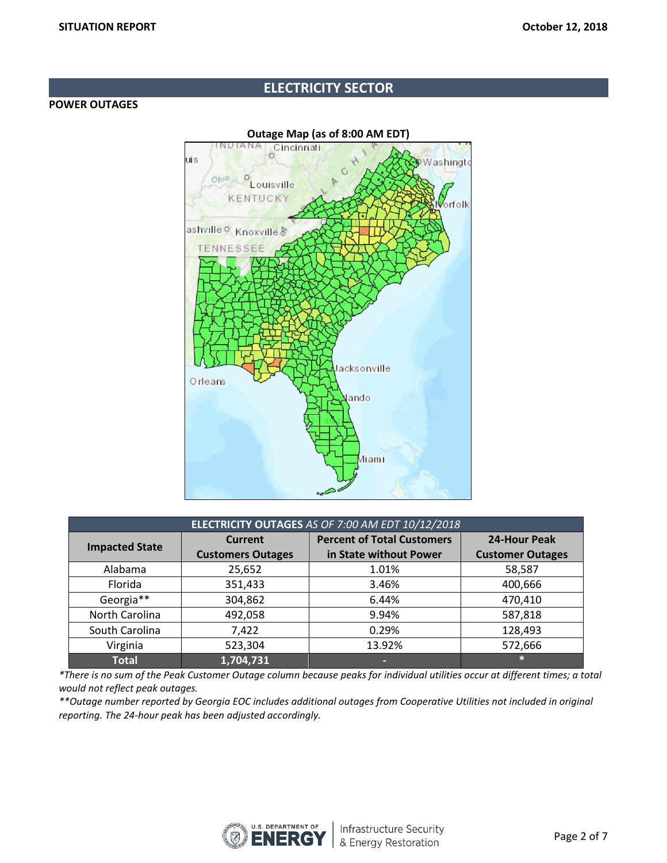## **ELECTRICITY SECTOR**

#### **POWER OUTAGES**



| ELECTRICITY OUTAGES AS OF 7:00 AM EDT 10/12/2018 |                          |                                   |                         |  |  |
|--------------------------------------------------|--------------------------|-----------------------------------|-------------------------|--|--|
| <b>Impacted State</b>                            | <b>Current</b>           | <b>Percent of Total Customers</b> | <b>24-Hour Peak</b>     |  |  |
|                                                  | <b>Customers Outages</b> | in State without Power            | <b>Customer Outages</b> |  |  |
| Alabama                                          | 25,652                   | 1.01%                             | 58,587                  |  |  |
| Florida                                          | 351,433                  | 3.46%                             | 400,666                 |  |  |
| Georgia**                                        | 304,862                  | 6.44%                             | 470,410                 |  |  |
| North Carolina                                   | 492,058                  | 9.94%                             | 587,818                 |  |  |
| South Carolina                                   | 7,422                    | 0.29%                             | 128,493                 |  |  |
| Virginia                                         | 523,304                  | 13.92%                            | 572,666                 |  |  |
| <b>Total</b>                                     | 1,704,731                | -                                 | ÷.                      |  |  |

*\*There is no sum of the Peak Customer Outage column because peaks for individual utilities occur at different times; a total would not reflect peak outages.*

*\*\*Outage number reported by Georgia EOC includes additional outages from Cooperative Utilities not included in original reporting. The 24-hour peak has been adjusted accordingly.* 

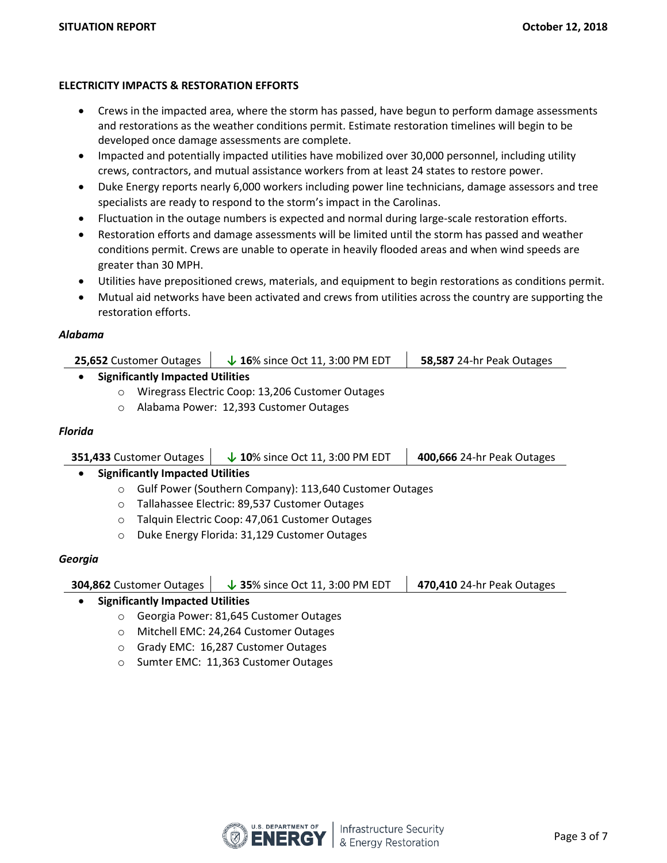#### **ELECTRICITY IMPACTS & RESTORATION EFFORTS**

- Crews in the impacted area, where the storm has passed, have begun to perform damage assessments and restorations as the weather conditions permit. Estimate restoration timelines will begin to be developed once damage assessments are complete.
- Impacted and potentially impacted utilities have mobilized over 30,000 personnel, including utility crews, contractors, and mutual assistance workers from at least 24 states to restore power.
- Duke Energy reports nearly 6,000 workers including power line technicians, damage assessors and tree specialists are ready to respond to the storm's impact in the Carolinas.
- Fluctuation in the outage numbers is expected and normal during large-scale restoration efforts.
- Restoration efforts and damage assessments will be limited until the storm has passed and weather conditions permit. Crews are unable to operate in heavily flooded areas and when wind speeds are greater than 30 MPH.
- Utilities have prepositioned crews, materials, and equipment to begin restorations as conditions permit.
- Mutual aid networks have been activated and crews from utilities across the country are supporting the restoration efforts.

#### *Alabama*

| <b>25,652</b> Customer Outages | $\downarrow$ 16% since Oct 11, 3:00 PM EDT | 58,587 24-hr Peak Outages |
|--------------------------------|--------------------------------------------|---------------------------|
|--------------------------------|--------------------------------------------|---------------------------|

#### **Significantly Impacted Utilities**

- o Wiregrass Electric Coop: 13,206 Customer Outages
- o Alabama Power: 12,393 Customer Outages

#### *Florida*

| 351,433 Customer Outages                | $\downarrow$ 10% since Oct 11, 3:00 PM EDT | 400,666 24-hr Peak Outages |  |
|-----------------------------------------|--------------------------------------------|----------------------------|--|
| <b>Significantly Impacted Utilities</b> |                                            |                            |  |

- o Gulf Power (Southern Company): 113,640 Customer Outages
- o Tallahassee Electric: 89,537 Customer Outages
- o Talquin Electric Coop: 47,061 Customer Outages
- o Duke Energy Florida: 31,129 Customer Outages

#### *Georgia*

| 304,862 Customer Outages | $\downarrow$ 35% since Oct 11, 3:00 PM EDT | 470,410 24-hr Peak Outages |  |
|--------------------------|--------------------------------------------|----------------------------|--|
|                          |                                            |                            |  |

#### **Significantly Impacted Utilities**

- o Georgia Power: 81,645 Customer Outages
- o Mitchell EMC: 24,264 Customer Outages
- o Grady EMC: 16,287 Customer Outages
- o Sumter EMC: 11,363 Customer Outages

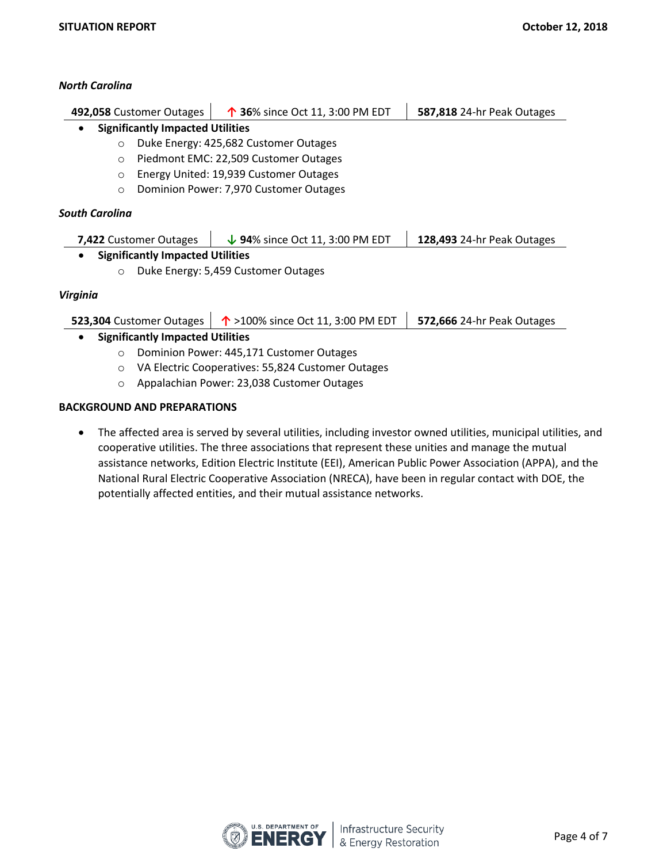#### *North Carolina*

| 492,058 Customer Outages |                                         | ↑ 36% since Oct 11, 3:00 PM EDT       | 587,818 24-hr Peak Outages |
|--------------------------|-----------------------------------------|---------------------------------------|----------------------------|
| $\bullet$                | <b>Significantly Impacted Utilities</b> |                                       |                            |
| $\circ$                  |                                         | Duke Energy: 425,682 Customer Outages |                            |
| $\circ$                  | Piedmont EMC: 22,509 Customer Outages   |                                       |                            |
| $\circ$                  | Energy United: 19,939 Customer Outages  |                                       |                            |
| $\circ$                  | Dominion Power: 7,970 Customer Outages  |                                       |                            |
| <b>South Carolina</b>    |                                         |                                       |                            |

| 7,422 Customer Outages | $\downarrow$ 94% since Oct 11, 3:00 PM EDT | $128,493$ 24-hr Peak Outages |
|------------------------|--------------------------------------------|------------------------------|
|                        |                                            |                              |

### **Significantly Impacted Utilities**

o Duke Energy: 5,459 Customer Outages

#### *Virginia*

|                                         | 523,304 Customer Outages $\vert \phi \rangle$ = 100% since Oct 11, 3:00 PM EDT $\vert$ 572,666 24-hr Peak Outages |  |
|-----------------------------------------|-------------------------------------------------------------------------------------------------------------------|--|
| <b>Significantly Impacted Utilities</b> |                                                                                                                   |  |

- o Dominion Power: 445,171 Customer Outages
- o VA Electric Cooperatives: 55,824 Customer Outages
- o Appalachian Power: 23,038 Customer Outages

#### **BACKGROUND AND PREPARATIONS**

 The affected area is served by several utilities, including investor owned utilities, municipal utilities, and cooperative utilities. The three associations that represent these unities and manage the mutual assistance networks, Edition Electric Institute (EEI), American Public Power Association (APPA), and the National Rural Electric Cooperative Association (NRECA), have been in regular contact with DOE, the potentially affected entities, and their mutual assistance networks.

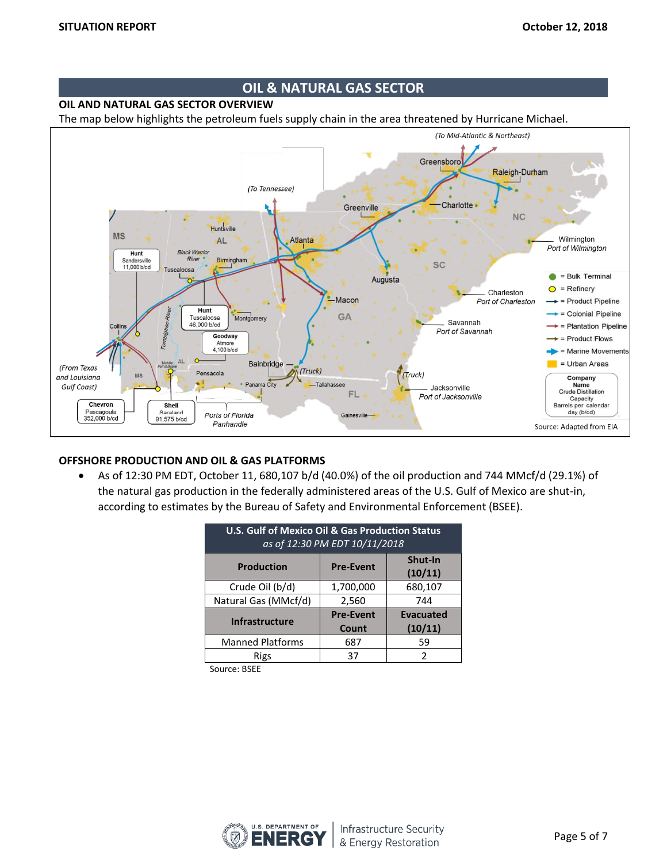## **OIL & NATURAL GAS SECTOR**

#### **OIL AND NATURAL GAS SECTOR OVERVIEW**

The map below highlights the petroleum fuels supply chain in the area threatened by Hurricane Michael.



#### **OFFSHORE PRODUCTION AND OIL & GAS PLATFORMS**

 As of 12:30 PM EDT, October 11, 680,107 b/d (40.0%) of the oil production and 744 MMcf/d (29.1%) of the natural gas production in the federally administered areas of the U.S. Gulf of Mexico are shut-in, according to estimates by the Bureau of Safety and Environmental Enforcement (BSEE).

| <b>U.S. Gulf of Mexico Oil &amp; Gas Production Status</b><br>as of 12:30 PM EDT 10/11/2018 |                           |                             |  |  |  |
|---------------------------------------------------------------------------------------------|---------------------------|-----------------------------|--|--|--|
| Shut-In<br><b>Production</b><br><b>Pre-Event</b><br>(10/11)                                 |                           |                             |  |  |  |
| Crude Oil (b/d)                                                                             | 1,700,000                 | 680,107                     |  |  |  |
| Natural Gas (MMcf/d)                                                                        | 2,560                     | 744                         |  |  |  |
| <b>Infrastructure</b>                                                                       | <b>Pre-Event</b><br>Count | <b>Evacuated</b><br>(10/11) |  |  |  |
| <b>Manned Platforms</b>                                                                     | 687                       | 59                          |  |  |  |
| Rigs                                                                                        | 37                        | $\mathcal{P}$               |  |  |  |

Source: BSEE

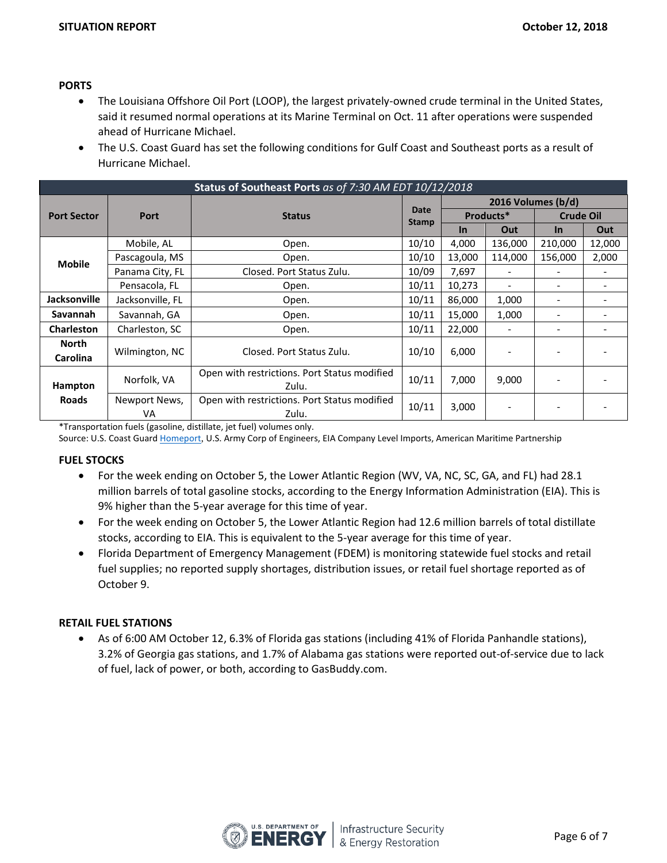#### **PORTS**

- The Louisiana Offshore Oil Port (LOOP), the largest privately-owned crude terminal in the United States, said it resumed normal operations at its Marine Terminal on Oct. 11 after operations were suspended ahead of Hurricane Michael.
- The U.S. Coast Guard has set the following conditions for Gulf Coast and Southeast ports as a result of Hurricane Michael.

| Status of Southeast Ports as of 7:30 AM EDT 10/12/2018 |                                                             |                                              |                      |                    |                          |                          |        |
|--------------------------------------------------------|-------------------------------------------------------------|----------------------------------------------|----------------------|--------------------|--------------------------|--------------------------|--------|
|                                                        | <b>Port</b>                                                 | <b>Status</b>                                |                      | 2016 Volumes (b/d) |                          |                          |        |
| <b>Port Sector</b>                                     |                                                             |                                              | Date<br><b>Stamp</b> | Products*          |                          | <b>Crude Oil</b>         |        |
|                                                        |                                                             |                                              |                      | <u>In</u>          | Out                      | $\ln$                    | Out    |
|                                                        | Mobile, AL                                                  | Open.                                        | 10/10                | 4,000              | 136,000                  | 210,000                  | 12,000 |
| <b>Mobile</b>                                          | Pascagoula, MS                                              | Open.                                        | 10/10                | 13,000             | 114,000                  | 156,000                  | 2,000  |
|                                                        | Panama City, FL                                             | Closed. Port Status Zulu.                    | 10/09                | 7,697              | $\overline{\phantom{a}}$ | $\overline{\phantom{a}}$ |        |
|                                                        | Pensacola, FL                                               | Open.                                        | 10/11                | 10,273             |                          | $\overline{\phantom{a}}$ |        |
| Jacksonville                                           | Jacksonville, FL                                            | Open.                                        | 10/11                | 86,000             | 1,000                    | $\overline{\phantom{a}}$ |        |
| <b>Savannah</b>                                        | Savannah, GA                                                | Open.                                        | 10/11                | 15,000             | 1,000                    |                          |        |
| <b>Charleston</b>                                      | Charleston, SC                                              | Open.                                        | 10/11                | 22,000             |                          | $\overline{\phantom{a}}$ |        |
| <b>North</b>                                           |                                                             |                                              |                      |                    |                          |                          |        |
| <b>Carolina</b>                                        | Wilmington, NC                                              | Closed. Port Status Zulu.                    | 10/10                | 6,000              |                          |                          |        |
|                                                        | Open with restrictions. Port Status modified<br>Norfolk, VA |                                              | 10/11                | 7,000              | 9,000                    |                          |        |
| Hampton                                                |                                                             | Zulu.                                        |                      |                    |                          |                          |        |
| <b>Roads</b>                                           | Newport News,                                               | Open with restrictions. Port Status modified | 10/11                | 3,000              |                          |                          |        |
|                                                        | VA                                                          | Zulu.                                        |                      |                    |                          |                          |        |

\*Transportation fuels (gasoline, distillate, jet fuel) volumes only.

Source: U.S. Coast Guard [Homeport](https://homeport.uscg.mil/port-directory/honolulu), U.S. Army Corp of Engineers, EIA Company Level Imports, American Maritime Partnership

#### **FUEL STOCKS**

- For the week ending on October 5, the Lower Atlantic Region (WV, VA, NC, SC, GA, and FL) had 28.1 million barrels of total gasoline stocks, according to the Energy Information Administration (EIA). This is 9% higher than the 5-year average for this time of year.
- For the week ending on October 5, the Lower Atlantic Region had 12.6 million barrels of total distillate stocks, according to EIA. This is equivalent to the 5-year average for this time of year.
- Florida Department of Emergency Management (FDEM) is monitoring statewide fuel stocks and retail fuel supplies; no reported supply shortages, distribution issues, or retail fuel shortage reported as of October 9.

#### **RETAIL FUEL STATIONS**

 As of 6:00 AM October 12, 6.3% of Florida gas stations (including 41% of Florida Panhandle stations), 3.2% of Georgia gas stations, and 1.7% of Alabama gas stations were reported out-of-service due to lack of fuel, lack of power, or both, according to GasBuddy.com.